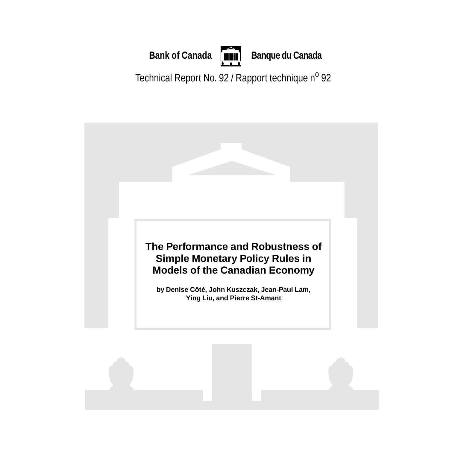

**Bank of Canada Filled Banque du Canada** 

Technical Report No. 92 / Rapport technique nº 92

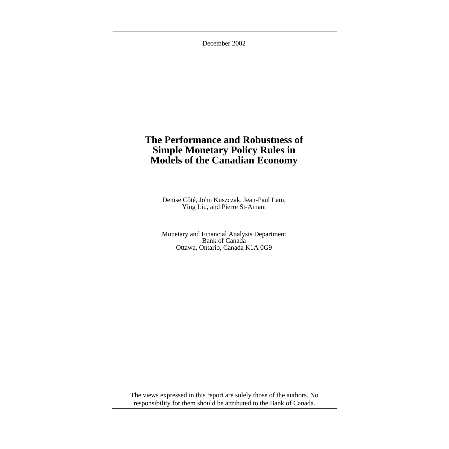December 2002

# **The Performance and Robustness of Simple Monetary Policy Rules in Models of the Canadian Economy**

Denise Côté, John Kuszczak, Jean-Paul Lam, Ying Liu, and Pierre St-Amant

Monetary and Financial Analysis Department Bank of Canada Ottawa, Ontario, Canada K1A 0G9

The views expressed in this report are solely those of the authors. No responsibility for them should be attributed to the Bank of Canada.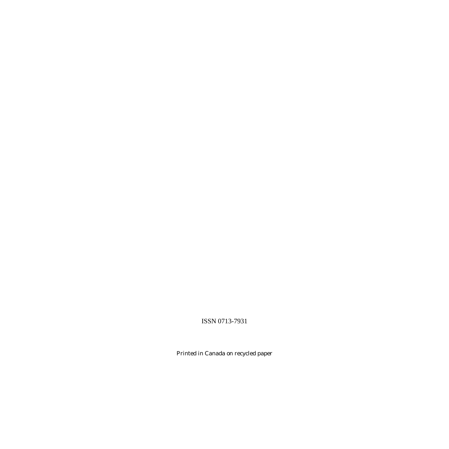ISSN 0713-7931

Printed in Canada on recycled paper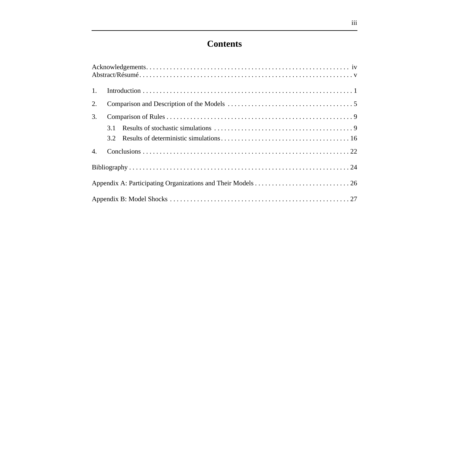# **Contents**

| 1.               |     |
|------------------|-----|
| 2.               |     |
| 3.               |     |
|                  | 3.1 |
|                  |     |
| $\overline{4}$ . |     |
|                  |     |
|                  |     |
|                  |     |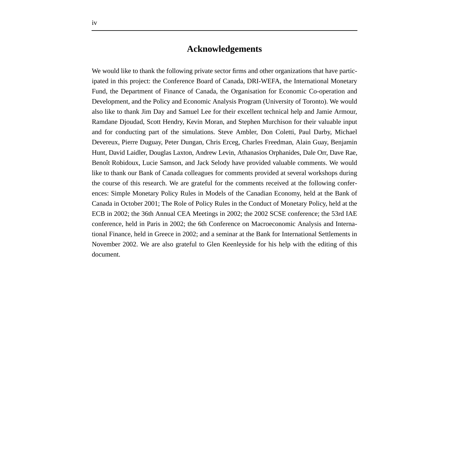## **Acknowledgements**

We would like to thank the following private sector firms and other organizations that have participated in this project: the Conference Board of Canada, DRI-WEFA, the International Monetary Fund, the Department of Finance of Canada, the Organisation for Economic Co-operation and Development, and the Policy and Economic Analysis Program (University of Toronto). We would also like to thank Jim Day and Samuel Lee for their excellent technical help and Jamie Armour, Ramdane Djoudad, Scott Hendry, Kevin Moran, and Stephen Murchison for their valuable input and for conducting part of the simulations. Steve Ambler, Don Coletti, Paul Darby, Michael Devereux, Pierre Duguay, Peter Dungan, Chris Erceg, Charles Freedman, Alain Guay, Benjamin Hunt, David Laidler, Douglas Laxton, Andrew Levin, Athanasios Orphanides, Dale Orr, Dave Rae, Benoît Robidoux, Lucie Samson, and Jack Selody have provided valuable comments. We would like to thank our Bank of Canada colleagues for comments provided at several workshops during the course of this research. We are grateful for the comments received at the following conferences: Simple Monetary Policy Rules in Models of the Canadian Economy, held at the Bank of Canada in October 2001; The Role of Policy Rules in the Conduct of Monetary Policy, held at the ECB in 2002; the 36th Annual CEA Meetings in 2002; the 2002 SCSE conference; the 53rd IAE conference, held in Paris in 2002; the 6th Conference on Macroeconomic Analysis and International Finance, held in Greece in 2002; and a seminar at the Bank for International Settlements in November 2002. We are also grateful to Glen Keenleyside for his help with the editing of this document.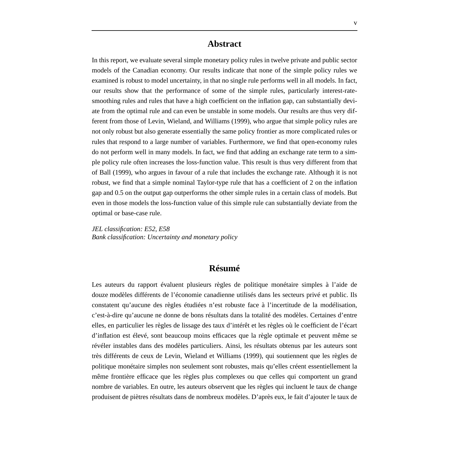#### **Abstract**

In this report, we evaluate several simple monetary policy rules in twelve private and public sector models of the Canadian economy. Our results indicate that none of the simple policy rules we examined is robust to model uncertainty, in that no single rule performs well in all models. In fact, our results show that the performance of some of the simple rules, particularly interest-ratesmoothing rules and rules that have a high coefficient on the inflation gap, can substantially deviate from the optimal rule and can even be unstable in some models. Our results are thus very different from those of Levin, Wieland, and Williams (1999), who argue that simple policy rules are not only robust but also generate essentially the same policy frontier as more complicated rules or rules that respond to a large number of variables. Furthermore, we find that open-economy rules do not perform well in many models. In fact, we find that adding an exchange rate term to a simple policy rule often increases the loss-function value. This result is thus very different from that of Ball (1999), who argues in favour of a rule that includes the exchange rate. Although it is not robust, we find that a simple nominal Taylor-type rule that has a coefficient of 2 on the inflation gap and 0.5 on the output gap outperforms the other simple rules in a certain class of models. But even in those models the loss-function value of this simple rule can substantially deviate from the optimal or base-case rule.

*JEL classification: E52, E58 Bank classification: Uncertainty and monetary policy*

## **Résumé**

Les auteurs du rapport évaluent plusieurs règles de politique monétaire simples à l'aide de douze modèles différents de l'économie canadienne utilisés dans les secteurs privé et public. Ils constatent qu'aucune des règles étudiées n'est robuste face à l'incertitude de la modélisation, c'est-à-dire qu'aucune ne donne de bons résultats dans la totalité des modèles. Certaines d'entre elles, en particulier les règles de lissage des taux d'intérêt et les règles où le coefficient de l'écart d'inflation est élevé, sont beaucoup moins efficaces que la règle optimale et peuvent même se révéler instables dans des modèles particuliers. Ainsi, les résultats obtenus par les auteurs sont très différents de ceux de Levin, Wieland et Williams (1999), qui soutiennent que les règles de politique monétaire simples non seulement sont robustes, mais qu'elles créent essentiellement la même frontière efficace que les règles plus complexes ou que celles qui comportent un grand nombre de variables. En outre, les auteurs observent que les règles qui incluent le taux de change produisent de piètres résultats dans de nombreux modèles. D'après eux, le fait d'ajouter le taux de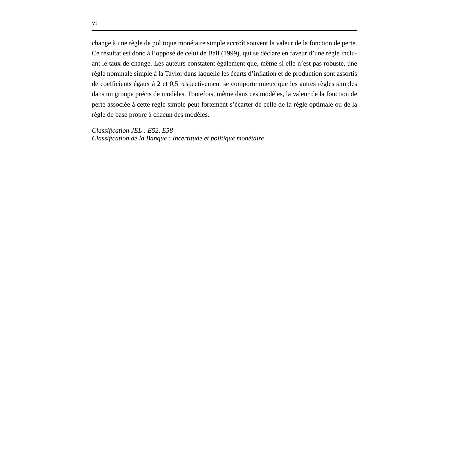change à une règle de politique monétaire simple accroît souvent la valeur de la fonction de perte. Ce résultat est donc à l'opposé de celui de Ball (1999), qui se déclare en faveur d'une règle incluant le taux de change. Les auteurs constatent également que, même si elle n'est pas robuste, une règle nominale simple à la Taylor dans laquelle les écarts d'inflation et de production sont assortis de coefficients égaux à 2 et 0,5 respectivement se comporte mieux que les autres règles simples dans un groupe précis de modèles. Toutefois, même dans ces modèles, la valeur de la fonction de perte associée à cette règle simple peut fortement s'écarter de celle de la règle optimale ou de la règle de base propre à chacun des modèles.

*Classification JEL : E52, E58 Classification de la Banque : Incertitude et politique monétaire*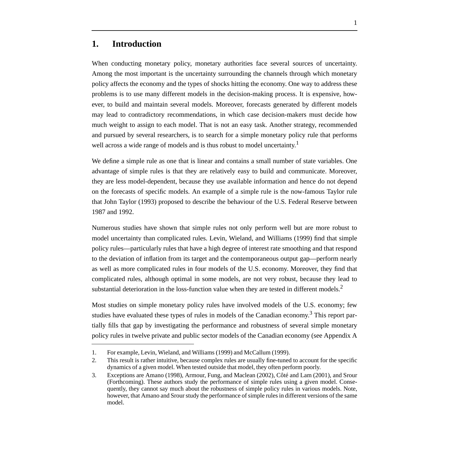## **1. Introduction**

When conducting monetary policy, monetary authorities face several sources of uncertainty. Among the most important is the uncertainty surrounding the channels through which monetary policy affects the economy and the types of shocks hitting the economy. One way to address these problems is to use many different models in the decision-making process. It is expensive, however, to build and maintain several models. Moreover, forecasts generated by different models may lead to contradictory recommendations, in which case decision-makers must decide how much weight to assign to each model. That is not an easy task. Another strategy, recommended and pursued by several researchers, is to search for a simple monetary policy rule that performs well across a wide range of models and is thus robust to model uncertainty.<sup>1</sup>

We define a simple rule as one that is linear and contains a small number of state variables. One advantage of simple rules is that they are relatively easy to build and communicate. Moreover, they are less model-dependent, because they use available information and hence do not depend on the forecasts of specific models. An example of a simple rule is the now-famous Taylor rule that John Taylor (1993) proposed to describe the behaviour of the U.S. Federal Reserve between 1987 and 1992.

Numerous studies have shown that simple rules not only perform well but are more robust to model uncertainty than complicated rules. Levin, Wieland, and Williams (1999) find that simple policy rules—particularly rules that have a high degree of interest rate smoothing and that respond to the deviation of inflation from its target and the contemporaneous output gap—perform nearly as well as more complicated rules in four models of the U.S. economy. Moreover, they find that complicated rules, although optimal in some models, are not very robust, because they lead to substantial deterioration in the loss-function value when they are tested in different models.<sup>2</sup>

Most studies on simple monetary policy rules have involved models of the U.S. economy; few studies have evaluated these types of rules in models of the Canadian economy.<sup>3</sup> This report partially fills that gap by investigating the performance and robustness of several simple monetary policy rules in twelve private and public sector models of the Canadian economy (see Appendix A

<sup>1.</sup> For example, Levin, Wieland, and Williams (1999) and McCallum (1999).

<sup>2.</sup> This result is rather intuitive, because complex rules are usually fine-tuned to account for the specific dynamics of a given model. When tested outside that model, they often perform poorly.

<sup>3.</sup> Exceptions are Amano (1998), Armour, Fung, and Maclean (2002), Côté and Lam (2001), and Srour (Forthcoming). These authors study the performance of simple rules using a given model. Consequently, they cannot say much about the robustness of simple policy rules in various models. Note, however, that Amano and Srour study the performance of simple rules in different versions of the same model.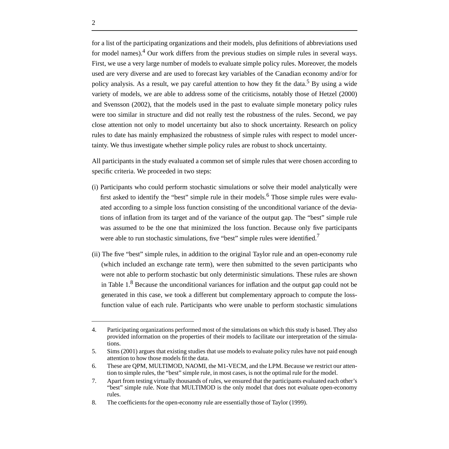for a list of the participating organizations and their models, plus definitions of abbreviations used for model names).4 Our work differs from the previous studies on simple rules in several ways. First, we use a very large number of models to evaluate simple policy rules. Moreover, the models used are very diverse and are used to forecast key variables of the Canadian economy and/or for policy analysis. As a result, we pay careful attention to how they fit the data.<sup>5</sup> By using a wide variety of models, we are able to address some of the criticisms, notably those of Hetzel (2000) and Svensson (2002), that the models used in the past to evaluate simple monetary policy rules were too similar in structure and did not really test the robustness of the rules. Second, we pay close attention not only to model uncertainty but also to shock uncertainty. Research on policy rules to date has mainly emphasized the robustness of simple rules with respect to model uncertainty. We thus investigate whether simple policy rules are robust to shock uncertainty.

All participants in the study evaluated a common set of simple rules that were chosen according to specific criteria. We proceeded in two steps:

- (i) Participants who could perform stochastic simulations or solve their model analytically were first asked to identify the "best" simple rule in their models.<sup>6</sup> Those simple rules were evaluated according to a simple loss function consisting of the unconditional variance of the deviations of inflation from its target and of the variance of the output gap. The "best" simple rule was assumed to be the one that minimized the loss function. Because only five participants were able to run stochastic simulations, five "best" simple rules were identified.<sup>7</sup>
- (ii) The five "best" simple rules, in addition to the original Taylor rule and an open-economy rule (which included an exchange rate term), were then submitted to the seven participants who were not able to perform stochastic but only deterministic simulations. These rules are shown in Table 1.<sup>8</sup> Because the unconditional variances for inflation and the output gap could not be generated in this case, we took a different but complementary approach to compute the lossfunction value of each rule. Participants who were unable to perform stochastic simulations

<sup>4.</sup> Participating organizations performed most of the simulations on which this study is based. They also provided information on the properties of their models to facilitate our interpretation of the simulations.

<sup>5.</sup> Sims (2001) argues that existing studies that use models to evaluate policy rules have not paid enough attention to how those models fit the data.

<sup>6.</sup> These are QPM, MULTIMOD, NAOMI, the M1-VECM, and the LPM. Because we restrict our attention to simple rules, the "best" simple rule, in most cases, is not the optimal rule for the model.

<sup>7.</sup> Apart from testing virtually thousands of rules, we ensured that the participants evaluated each other's "best" simple rule. Note that MULTIMOD is the only model that does not evaluate open-economy rules.

<sup>8.</sup> The coefficients for the open-economy rule are essentially those of Taylor (1999).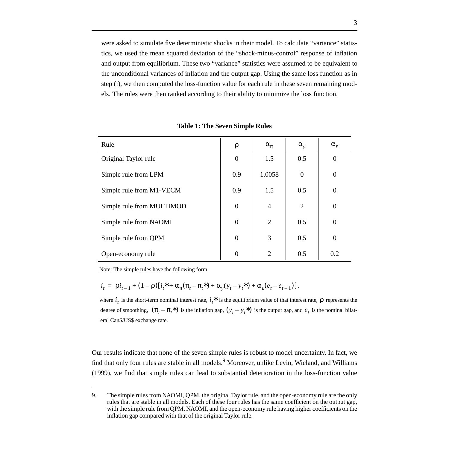were asked to simulate five deterministic shocks in their model. To calculate "variance" statistics, we used the mean squared deviation of the "shock-minus-control" response of inflation and output from equilibrium. These two "variance" statistics were assumed to be equivalent to the unconditional variances of inflation and the output gap. Using the same loss function as in step (i), we then computed the loss-function value for each rule in these seven remaining models. The rules were then ranked according to their ability to minimize the loss function.

| Rule                      | ρ                | $\alpha_{\pi}$ | $\alpha_{v}$   | $\alpha_{\varepsilon}$ |
|---------------------------|------------------|----------------|----------------|------------------------|
| Original Taylor rule      | $\boldsymbol{0}$ | 1.5            | 0.5            | $\overline{0}$         |
| Simple rule from LPM      | 0.9              | 1.0058         | $\theta$       | $\boldsymbol{0}$       |
| Simple rule from M1-VECM  | 0.9              | 1.5            | 0.5            | $\overline{0}$         |
| Simple rule from MULTIMOD | $\overline{0}$   | $\overline{4}$ | $\overline{2}$ | $\overline{0}$         |
| Simple rule from NAOMI    | $\overline{0}$   | $\overline{2}$ | 0.5            | $\overline{0}$         |
| Simple rule from QPM      | $\overline{0}$   | 3              | 0.5            | $\overline{0}$         |
| Open-economy rule         | $\boldsymbol{0}$ | $\overline{2}$ | 0.5            | 0.2                    |

**Table 1: The Seven Simple Rules**

Note: The simple rules have the following form:

$$
i_{t} = \rho i_{t-1} + (1-\rho)[i_{t}^{*} + \alpha_{\pi}(\pi_{t} - \pi_{t}^{*}) + \alpha_{y}(y_{t} - y_{t}^{*}) + \alpha_{\varepsilon}(e_{t} - e_{t-1})],
$$

where  $i_t$  is the short-term nominal interest rate,  $i_t^*$  is the equilibrium value of that interest rate,  $\rho$  represents the degree of smoothing,  $(\pi_t - \pi_t^*)$  is the inflation gap,  $(y_t - y_t^*)$  is the output gap, and  $e_t$  is the nominal bilateral Can\$/US\$ exchange rate.

Our results indicate that none of the seven simple rules is robust to model uncertainty. In fact, we find that only four rules are stable in all models.9 Moreover, unlike Levin, Wieland, and Williams (1999), we find that simple rules can lead to substantial deterioration in the loss-function value

<sup>9.</sup> The simple rules from NAOMI, QPM, the original Taylor rule, and the open-economy rule are the only rules that are stable in all models. Each of these four rules has the same coefficient on the output gap, with the simple rule from QPM, NAOMI, and the open-economy rule having higher coefficients on the inflation gap compared with that of the original Taylor rule.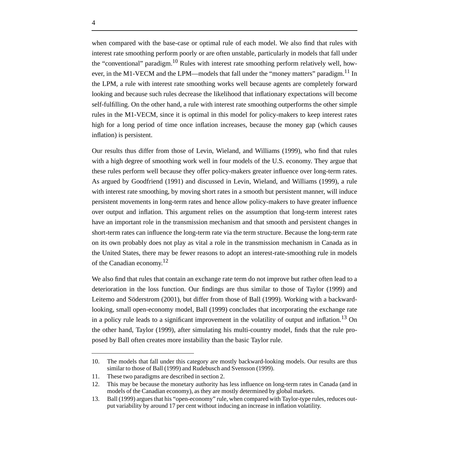when compared with the base-case or optimal rule of each model. We also find that rules with interest rate smoothing perform poorly or are often unstable, particularly in models that fall under the "conventional" paradigm.<sup>10</sup> Rules with interest rate smoothing perform relatively well, however, in the M1-VECM and the LPM—models that fall under the "money matters" paradigm.<sup>11</sup> In the LPM, a rule with interest rate smoothing works well because agents are completely forward looking and because such rules decrease the likelihood that inflationary expectations will become self-fulfilling. On the other hand, a rule with interest rate smoothing outperforms the other simple rules in the M1-VECM, since it is optimal in this model for policy-makers to keep interest rates high for a long period of time once inflation increases, because the money gap (which causes inflation) is persistent.

Our results thus differ from those of Levin, Wieland, and Williams (1999), who find that rules with a high degree of smoothing work well in four models of the U.S. economy. They argue that these rules perform well because they offer policy-makers greater influence over long-term rates. As argued by Goodfriend (1991) and discussed in Levin, Wieland, and Williams (1999), a rule with interest rate smoothing, by moving short rates in a smooth but persistent manner, will induce persistent movements in long-term rates and hence allow policy-makers to have greater influence over output and inflation. This argument relies on the assumption that long-term interest rates have an important role in the transmission mechanism and that smooth and persistent changes in short-term rates can influence the long-term rate via the term structure. Because the long-term rate on its own probably does not play as vital a role in the transmission mechanism in Canada as in the United States, there may be fewer reasons to adopt an interest-rate-smoothing rule in models of the Canadian economy.<sup>12</sup>

We also find that rules that contain an exchange rate term do not improve but rather often lead to a deterioration in the loss function. Our findings are thus similar to those of Taylor (1999) and Leitemo and Söderstrom (2001), but differ from those of Ball (1999). Working with a backwardlooking, small open-economy model, Ball (1999) concludes that incorporating the exchange rate in a policy rule leads to a significant improvement in the volatility of output and inflation.<sup>13</sup> On the other hand, Taylor (1999), after simulating his multi-country model, finds that the rule proposed by Ball often creates more instability than the basic Taylor rule.

<sup>10.</sup> The models that fall under this category are mostly backward-looking models. Our results are thus similar to those of Ball (1999) and Rudebusch and Svensson (1999).

<sup>11.</sup> These two paradigms are described in section 2.

<sup>12.</sup> This may be because the monetary authority has less influence on long-term rates in Canada (and in models of the Canadian economy), as they are mostly determined by global markets.

<sup>13.</sup> Ball (1999) argues that his "open-economy" rule, when compared with Taylor-type rules, reduces output variability by around 17 per cent without inducing an increase in inflation volatility.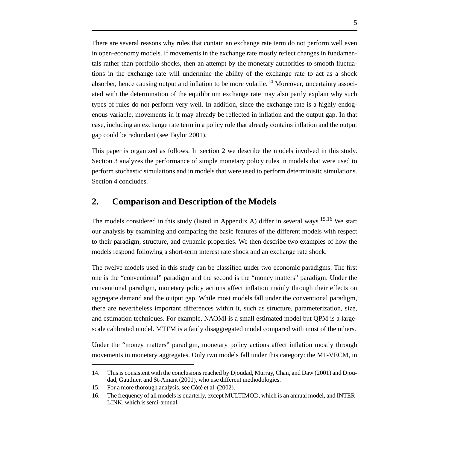There are several reasons why rules that contain an exchange rate term do not perform well even in open-economy models. If movements in the exchange rate mostly reflect changes in fundamentals rather than portfolio shocks, then an attempt by the monetary authorities to smooth fluctuations in the exchange rate will undermine the ability of the exchange rate to act as a shock absorber, hence causing output and inflation to be more volatile.<sup>14</sup> Moreover, uncertainty associated with the determination of the equilibrium exchange rate may also partly explain why such types of rules do not perform very well. In addition, since the exchange rate is a highly endogenous variable, movements in it may already be reflected in inflation and the output gap. In that case, including an exchange rate term in a policy rule that already contains inflation and the output gap could be redundant (see Taylor 2001).

This paper is organized as follows. In section 2 we describe the models involved in this study. Section 3 analyzes the performance of simple monetary policy rules in models that were used to perform stochastic simulations and in models that were used to perform deterministic simulations. Section 4 concludes.

## **2. Comparison and Description of the Models**

The models considered in this study (listed in Appendix A) differ in several ways.<sup>15,16</sup> We start our analysis by examining and comparing the basic features of the different models with respect to their paradigm, structure, and dynamic properties. We then describe two examples of how the models respond following a short-term interest rate shock and an exchange rate shock.

The twelve models used in this study can be classified under two economic paradigms. The first one is the "conventional" paradigm and the second is the "money matters" paradigm. Under the conventional paradigm, monetary policy actions affect inflation mainly through their effects on aggregate demand and the output gap. While most models fall under the conventional paradigm, there are nevertheless important differences within it, such as structure, parameterization, size, and estimation techniques. For example, NAOMI is a small estimated model but QPM is a largescale calibrated model. MTFM is a fairly disaggregated model compared with most of the others.

Under the "money matters" paradigm, monetary policy actions affect inflation mostly through movements in monetary aggregates. Only two models fall under this category: the M1-VECM, in

<sup>14.</sup> This is consistent with the conclusions reached by Djoudad, Murray, Chan, and Daw (2001) and Djoudad, Gauthier, and St-Amant (2001), who use different methodologies.

<sup>15.</sup> For a more thorough analysis, see Côté et al. (2002).

<sup>16.</sup> The frequency of all models is quarterly, except MULTIMOD, which is an annual model, and INTER-LINK, which is semi-annual.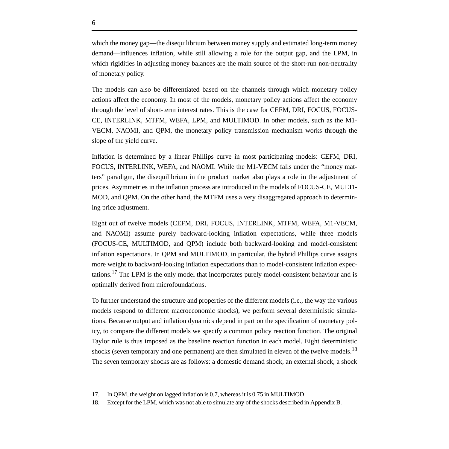which the money gap—the disequilibrium between money supply and estimated long-term money demand—influences inflation, while still allowing a role for the output gap, and the LPM, in which rigidities in adjusting money balances are the main source of the short-run non-neutrality of monetary policy.

The models can also be differentiated based on the channels through which monetary policy actions affect the economy. In most of the models, monetary policy actions affect the economy through the level of short-term interest rates. This is the case for CEFM, DRI, FOCUS, FOCUS-CE, INTERLINK, MTFM, WEFA, LPM, and MULTIMOD. In other models, such as the M1- VECM, NAOMI, and QPM, the monetary policy transmission mechanism works through the slope of the yield curve.

Inflation is determined by a linear Phillips curve in most participating models: CEFM, DRI, FOCUS, INTERLINK, WEFA, and NAOMI. While the M1-VECM falls under the "money matters" paradigm, the disequilibrium in the product market also plays a role in the adjustment of prices. Asymmetries in the inflation process are introduced in the models of FOCUS-CE, MULTI-MOD, and QPM. On the other hand, the MTFM uses a very disaggregated approach to determining price adjustment.

Eight out of twelve models (CEFM, DRI, FOCUS, INTERLINK, MTFM, WEFA, M1-VECM, and NAOMI) assume purely backward-looking inflation expectations, while three models (FOCUS-CE, MULTIMOD, and QPM) include both backward-looking and model-consistent inflation expectations. In QPM and MULTIMOD, in particular, the hybrid Phillips curve assigns more weight to backward-looking inflation expectations than to model-consistent inflation expectations.17 The LPM is the only model that incorporates purely model-consistent behaviour and is optimally derived from microfoundations.

To further understand the structure and properties of the different models (i.e., the way the various models respond to different macroeconomic shocks), we perform several deterministic simulations. Because output and inflation dynamics depend in part on the specification of monetary policy, to compare the different models we specify a common policy reaction function. The original Taylor rule is thus imposed as the baseline reaction function in each model. Eight deterministic shocks (seven temporary and one permanent) are then simulated in eleven of the twelve models.<sup>18</sup> The seven temporary shocks are as follows: a domestic demand shock, an external shock, a shock

<sup>17.</sup> In QPM, the weight on lagged inflation is 0.7, whereas it is 0.75 in MULTIMOD.

<sup>18.</sup> Except for the LPM, which was not able to simulate any of the shocks described in Appendix B.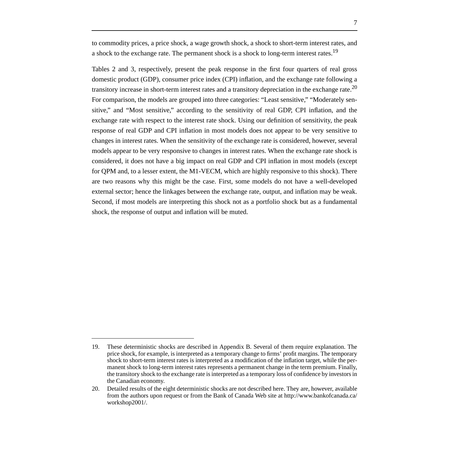to commodity prices, a price shock, a wage growth shock, a shock to short-term interest rates, and a shock to the exchange rate. The permanent shock is a shock to long-term interest rates.<sup>19</sup>

Tables 2 and 3, respectively, present the peak response in the first four quarters of real gross domestic product (GDP), consumer price index (CPI) inflation, and the exchange rate following a transitory increase in short-term interest rates and a transitory depreciation in the exchange rate.<sup>20</sup> For comparison, the models are grouped into three categories: "Least sensitive," "Moderately sensitive," and "Most sensitive," according to the sensitivity of real GDP, CPI inflation, and the exchange rate with respect to the interest rate shock. Using our definition of sensitivity, the peak response of real GDP and CPI inflation in most models does not appear to be very sensitive to changes in interest rates. When the sensitivity of the exchange rate is considered, however, several models appear to be very responsive to changes in interest rates. When the exchange rate shock is considered, it does not have a big impact on real GDP and CPI inflation in most models (except for QPM and, to a lesser extent, the M1-VECM, which are highly responsive to this shock). There are two reasons why this might be the case. First, some models do not have a well-developed external sector; hence the linkages between the exchange rate, output, and inflation may be weak. Second, if most models are interpreting this shock not as a portfolio shock but as a fundamental shock, the response of output and inflation will be muted.

<sup>19.</sup> These deterministic shocks are described in Appendix B. Several of them require explanation. The price shock, for example, is interpreted as a temporary change to firms' profit margins. The temporary shock to short-term interest rates is interpreted as a modification of the inflation target, while the permanent shock to long-term interest rates represents a permanent change in the term premium. Finally, the transitory shock to the exchange rate is interpreted as a temporary loss of confidence by investors in the Canadian economy.

<sup>20.</sup> Detailed results of the eight deterministic shocks are not described here. They are, however, available from the authors upon request or from the Bank of Canada Web site at http://www.bankofcanada.ca/ workshop2001/.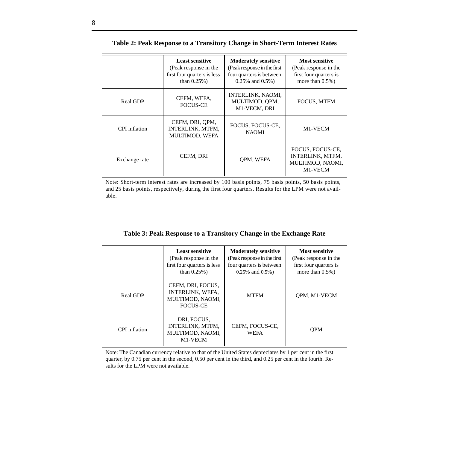|                 | <b>Least sensitive</b><br>(Peak response in the<br>first four quarters is less<br>than $0.25%$ ) | <b>Moderately sensitive</b><br>(Peak response in the first<br>four quarters is between<br>$0.25\%$ and $0.5\%$ ) | <b>Most sensitive</b><br>(Peak response in the<br>first four quarters is<br>more than $0.5\%$ ) |
|-----------------|--------------------------------------------------------------------------------------------------|------------------------------------------------------------------------------------------------------------------|-------------------------------------------------------------------------------------------------|
| <b>Real GDP</b> | CEFM, WEFA,<br><b>FOCUS-CE</b>                                                                   | <b>INTERLINK, NAOMI,</b><br>MULTIMOD, QPM,<br>M1-VECM, DRI                                                       | FOCUS, MTFM                                                                                     |
| CPI inflation   | CEFM, DRI, QPM,<br>INTERLINK, MTFM,<br>MULTIMOD, WEFA                                            | FOCUS, FOCUS-CE,<br><b>NAOMI</b>                                                                                 | M1-VECM                                                                                         |
| Exchange rate   | CEFM, DRI                                                                                        | QPM, WEFA                                                                                                        | FOCUS, FOCUS-CE,<br><b>INTERLINK, MTFM,</b><br>MULTIMOD, NAOMI,<br>M1-VECM                      |

**Table 2: Peak Response to a Transitory Change in Short-Term Interest Rates**

Note: Short-term interest rates are increased by 100 basis points, 75 basis points, 50 basis points, and 25 basis points, respectively, during the first four quarters. Results for the LPM were not available.

|  |  | Table 3: Peak Response to a Transitory Change in the Exchange Rate |  |  |
|--|--|--------------------------------------------------------------------|--|--|
|  |  |                                                                    |  |  |

|                 | <b>Least sensitive</b><br>(Peak response in the<br>first four quarters is less<br>than $0.25%$ ) | <b>Moderately sensitive</b><br>(Peak response in the first<br>four quarters is between<br>$0.25\%$ and $0.5\%$ ) | <b>Most sensitive</b><br>(Peak response in the<br>first four quarters is<br>more than $0.5\%$ ) |
|-----------------|--------------------------------------------------------------------------------------------------|------------------------------------------------------------------------------------------------------------------|-------------------------------------------------------------------------------------------------|
| <b>Real GDP</b> | CEFM, DRI, FOCUS,<br>INTERLINK, WEFA,<br>MULTIMOD, NAOMI,<br><b>FOCUS-CE</b>                     | <b>MTFM</b>                                                                                                      | OPM, M1-VECM                                                                                    |
| CPI inflation   | DRI, FOCUS.<br>INTERLINK, MTFM,<br>MULTIMOD, NAOMI,<br>M1-VECM                                   | CEFM, FOCUS-CE,<br><b>WEFA</b>                                                                                   | <b>OPM</b>                                                                                      |

Note: The Canadian currency relative to that of the United States depreciates by 1 per cent in the first quarter, by 0.75 per cent in the second, 0.50 per cent in the third, and 0.25 per cent in the fourth. Results for the LPM were not available.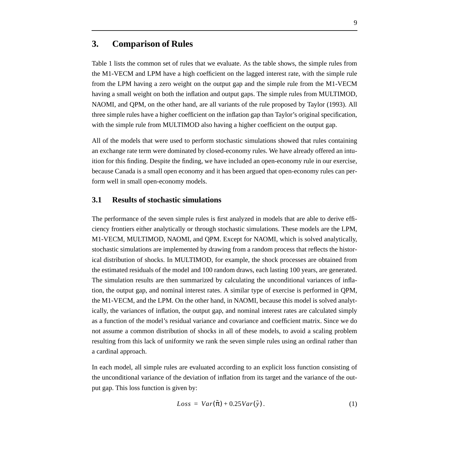#### **3. Comparison of Rules**

Table 1 lists the common set of rules that we evaluate. As the table shows, the simple rules from the M1-VECM and LPM have a high coefficient on the lagged interest rate, with the simple rule from the LPM having a zero weight on the output gap and the simple rule from the M1-VECM having a small weight on both the inflation and output gaps. The simple rules from MULTIMOD, NAOMI, and QPM, on the other hand, are all variants of the rule proposed by Taylor (1993). All three simple rules have a higher coefficient on the inflation gap than Taylor's original specification, with the simple rule from MULTIMOD also having a higher coefficient on the output gap.

All of the models that were used to perform stochastic simulations showed that rules containing an exchange rate term were dominated by closed-economy rules. We have already offered an intuition for this finding. Despite the finding, we have included an open-economy rule in our exercise, because Canada is a small open economy and it has been argued that open-economy rules can perform well in small open-economy models.

#### **3.1 Results of stochastic simulations**

The performance of the seven simple rules is first analyzed in models that are able to derive efficiency frontiers either analytically or through stochastic simulations. These models are the LPM, M1-VECM, MULTIMOD, NAOMI, and QPM. Except for NAOMI, which is solved analytically, stochastic simulations are implemented by drawing from a random process that reflects the historical distribution of shocks. In MULTIMOD, for example, the shock processes are obtained from the estimated residuals of the model and 100 random draws, each lasting 100 years, are generated. The simulation results are then summarized by calculating the unconditional variances of inflation, the output gap, and nominal interest rates. A similar type of exercise is performed in QPM, the M1-VECM, and the LPM. On the other hand, in NAOMI, because this model is solved analytically, the variances of inflation, the output gap, and nominal interest rates are calculated simply as a function of the model's residual variance and covariance and coefficient matrix. Since we do not assume a common distribution of shocks in all of these models, to avoid a scaling problem resulting from this lack of uniformity we rank the seven simple rules using an ordinal rather than a cardinal approach.

In each model, all simple rules are evaluated according to an explicit loss function consisting of the unconditional variance of the deviation of inflation from its target and the variance of the output gap. This loss function is given by:

$$
Loss = Var(\tilde{\pi}) + 0.25Var(\tilde{y}). \qquad (1)
$$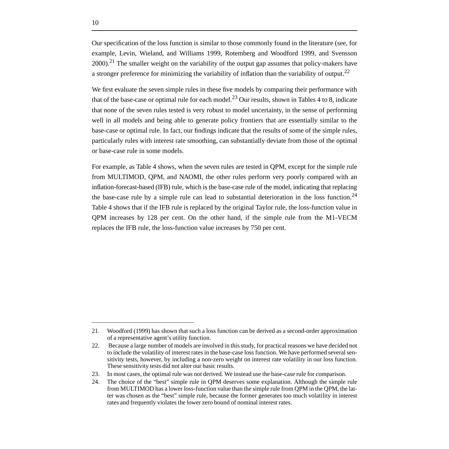Our specification of the loss function is similar to those commonly found in the literature (see, for example, Levin, Wieland, and Williams 1999, Rotemberg and Woodford 1999, and Svensson 2000).<sup>21</sup> The smaller weight on the variability of the output gap assumes that policy-makers have a stronger preference for minimizing the variability of inflation than the variability of output.<sup>22</sup>

We first evaluate the seven simple rules in these five models by comparing their performance with that of the base-case or optimal rule for each model.<sup>23</sup> Our results, shown in Tables 4 to 8, indicate that none of the seven rules tested is very robust to model uncertainty, in the sense of performing well in all models and being able to generate policy frontiers that are essentially similar to the base-case or optimal rule. In fact, our findings indicate that the results of some of the simple rules, particularly rules with interest rate smoothing, can substantially deviate from those of the optimal or base-case rule in some models.

For example, as Table 4 shows, when the seven rules are tested in QPM, except for the simple rule from MULTIMOD, QPM, and NAOMI, the other rules perform very poorly compared with an inflation-forecast-based (IFB) rule, which is the base-case rule of the model, indicating that replacing the base-case rule by a simple rule can lead to substantial deterioration in the loss function.<sup>24</sup> Table 4 shows that if the IFB rule is replaced by the original Taylor rule, the loss-function value in QPM increases by 128 per cent. On the other hand, if the simple rule from the M1-VECM replaces the IFB rule, the loss-function value increases by 750 per cent.

<sup>21.</sup> Woodford (1999) has shown that such a loss function can be derived as a second-order approximation of a representative agent's utility function.

<sup>22.</sup> Because a large number of models are involved in this study, for practical reasons we have decided not to include the volatility of interest rates in the base-case loss function. We have performed several sensitivity tests, however, by including a non-zero weight on interest rate volatility in our loss function. These sensitivity tests did not alter our basic results.

<sup>23.</sup> In most cases, the optimal rule was not derived. We instead use the base-case rule for comparison.

<sup>24.</sup> The choice of the "best" simple rule in QPM deserves some explanation. Although the simple rule from MULTIMOD has a lower loss-function value than the simple rule from QPM in the QPM, the latter was chosen as the "best" simple rule, because the former generates too much volatility in interest rates and frequently violates the lower zero bound of nominal interest rates.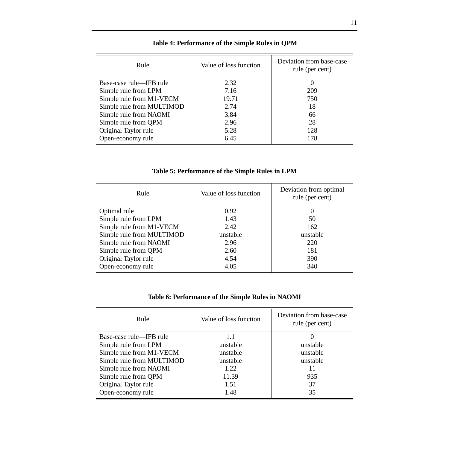| Rule                      | Value of loss function | Deviation from base-case<br>rule (per cent) |  |  |
|---------------------------|------------------------|---------------------------------------------|--|--|
| Base-case rule—IFB rule   | 2.32                   | $\left( \right)$                            |  |  |
| Simple rule from LPM      | 7.16                   | 209                                         |  |  |
| Simple rule from M1-VECM  | 19.71                  | 750                                         |  |  |
| Simple rule from MULTIMOD | 2.74                   | 18                                          |  |  |
| Simple rule from NAOMI    | 3.84                   | 66                                          |  |  |
| Simple rule from QPM      | 2.96                   | 28                                          |  |  |
| Original Taylor rule      | 5.28                   | 128                                         |  |  |
| Open-economy rule         | 6.45                   | 178                                         |  |  |

**Table 4: Performance of the Simple Rules in QPM**

| Table 5: Performance of the Simple Rules in LPM |  |  |  |  |  |  |  |
|-------------------------------------------------|--|--|--|--|--|--|--|
|-------------------------------------------------|--|--|--|--|--|--|--|

| Rule                      | Value of loss function | Deviation from optimal<br>rule (per cent) |
|---------------------------|------------------------|-------------------------------------------|
| Optimal rule              | 0.92                   |                                           |
| Simple rule from LPM      | 1.43                   | 50                                        |
| Simple rule from M1-VECM  | 2.42                   | 162                                       |
| Simple rule from MULTIMOD | unstable               | unstable                                  |
| Simple rule from NAOMI    | 2.96                   | 220                                       |
| Simple rule from QPM      | 2.60                   | 181                                       |
| Original Taylor rule      | 4.54                   | 390                                       |
| Open-economy rule         | 4.05                   | 340                                       |

### **Table 6: Performance of the Simple Rules in NAOMI**

| Rule                      | Value of loss function | Deviation from base-case<br>rule (per cent) |
|---------------------------|------------------------|---------------------------------------------|
| Base-case rule—IFB rule   | 1.1                    | $\left( \right)$                            |
| Simple rule from LPM      | unstable               | unstable                                    |
| Simple rule from M1-VECM  | unstable               | unstable                                    |
| Simple rule from MULTIMOD | unstable               | unstable                                    |
| Simple rule from NAOMI    | 1.22                   |                                             |
| Simple rule from QPM      | 11.39                  | 935                                         |
| Original Taylor rule      | 1.51                   | 37                                          |
| Open-economy rule         | 1.48                   | 35                                          |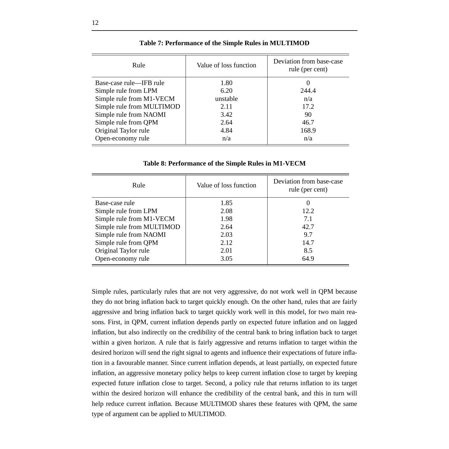| Rule                      | Value of loss function | Deviation from base-case<br>rule (per cent) |
|---------------------------|------------------------|---------------------------------------------|
| Base-case rule—IFB rule   | 1.80                   | $\theta$                                    |
| Simple rule from LPM      | 6.20                   | 244.4                                       |
| Simple rule from M1-VECM  | unstable               | n/a                                         |
| Simple rule from MULTIMOD | 2.11                   | 17.2                                        |
| Simple rule from NAOMI    | 3.42                   | 90                                          |
| Simple rule from QPM      | 2.64                   | 46.7                                        |
| Original Taylor rule      | 4.84                   | 168.9                                       |
| Open-economy rule         | n/a                    | n/a                                         |

**Table 7: Performance of the Simple Rules in MULTIMOD**

**Table 8: Performance of the Simple Rules in M1-VECM**

| Rule                      | Value of loss function | Deviation from base-case<br>rule (per cent) |
|---------------------------|------------------------|---------------------------------------------|
| Base-case rule            | 1.85                   | $\theta$                                    |
| Simple rule from LPM      | 2.08                   | 12.2                                        |
| Simple rule from M1-VECM  | 1.98                   | 7.1                                         |
| Simple rule from MULTIMOD | 2.64                   | 42.7                                        |
| Simple rule from NAOMI    | 2.03                   | 9.7                                         |
| Simple rule from QPM      | 2.12                   | 14.7                                        |
| Original Taylor rule      | 2.01                   | 8.5                                         |
| Open-economy rule         | 3.05                   | 64.9                                        |

Simple rules, particularly rules that are not very aggressive, do not work well in QPM because they do not bring inflation back to target quickly enough. On the other hand, rules that are fairly aggressive and bring inflation back to target quickly work well in this model, for two main reasons. First, in QPM, current inflation depends partly on expected future inflation and on lagged inflation, but also indirectly on the credibility of the central bank to bring inflation back to target within a given horizon. A rule that is fairly aggressive and returns inflation to target within the desired horizon will send the right signal to agents and influence their expectations of future inflation in a favourable manner. Since current inflation depends, at least partially, on expected future inflation, an aggressive monetary policy helps to keep current inflation close to target by keeping expected future inflation close to target. Second, a policy rule that returns inflation to its target within the desired horizon will enhance the credibility of the central bank, and this in turn will help reduce current inflation. Because MULTIMOD shares these features with QPM, the same type of argument can be applied to MULTIMOD.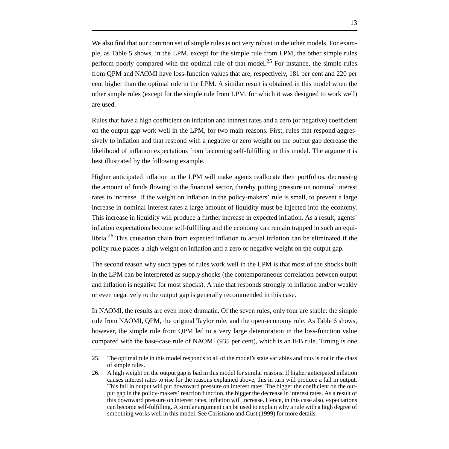We also find that our common set of simple rules is not very robust in the other models. For example, as Table 5 shows, in the LPM, except for the simple rule from LPM, the other simple rules perform poorly compared with the optimal rule of that model.<sup>25</sup> For instance, the simple rules from QPM and NAOMI have loss-function values that are, respectively, 181 per cent and 220 per cent higher than the optimal rule in the LPM. A similar result is obtained in this model when the other simple rules (except for the simple rule from LPM, for which it was designed to work well) are used.

Rules that have a high coefficient on inflation and interest rates and a zero (or negative) coefficient on the output gap work well in the LPM, for two main reasons. First, rules that respond aggressively to inflation and that respond with a negative or zero weight on the output gap decrease the likelihood of inflation expectations from becoming self-fulfilling in this model. The argument is best illustrated by the following example.

Higher anticipated inflation in the LPM will make agents reallocate their portfolios, decreasing the amount of funds flowing to the financial sector, thereby putting pressure on nominal interest rates to increase. If the weight on inflation in the policy-makers' rule is small, to prevent a large increase in nominal interest rates a large amount of liquidity must be injected into the economy. This increase in liquidity will produce a further increase in expected inflation. As a result, agents' inflation expectations become self-fulfilling and the economy can remain trapped in such an equilibria.<sup>26</sup> This causation chain from expected inflation to actual inflation can be eliminated if the policy rule places a high weight on inflation and a zero or negative weight on the output gap.

The second reason why such types of rules work well in the LPM is that most of the shocks built in the LPM can be interpreted as supply shocks (the contemporaneous correlation between output and inflation is negative for most shocks). A rule that responds strongly to inflation and/or weakly or even negatively to the output gap is generally recommended in this case.

In NAOMI, the results are even more dramatic. Of the seven rules, only four are stable: the simple rule from NAOMI, QPM, the original Taylor rule, and the open-economy rule. As Table 6 shows, however, the simple rule from QPM led to a very large deterioration in the loss-function value compared with the base-case rule of NAOMI (935 per cent), which is an IFB rule. Timing is one

<sup>25.</sup> The optimal rule in this model responds to all of the model's state variables and thus is not in the class of simple rules.

<sup>26.</sup> A high weight on the output gap is bad in this model for similar reasons. If higher anticipated inflation causes interest rates to rise for the reasons explained above, this in turn will produce a fall in output. This fall in output will put downward pressure on interest rates. The bigger the coefficient on the output gap in the policy-makers' reaction function, the bigger the decrease in interest rates. As a result of this downward pressure on interest rates, inflation will increase. Hence, in this case also, expectations can become self-fulfilling. A similar argument can be used to explain why a rule with a high degree of smoothing works well in this model. See Christiano and Gust (1999) for more details.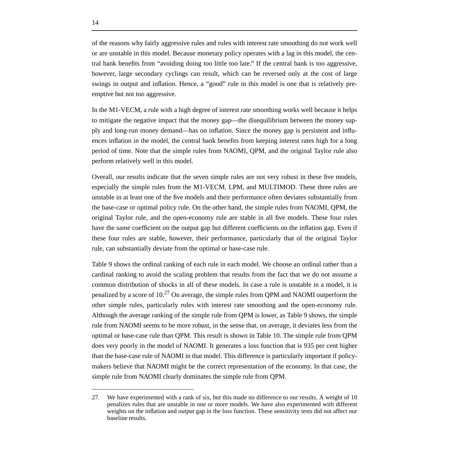of the reasons why fairly aggressive rules and rules with interest rate smoothing do not work well or are unstable in this model. Because monetary policy operates with a lag in this model, the central bank benefits from "avoiding doing too little too late." If the central bank is too aggressive, however, large secondary cyclings can result, which can be reversed only at the cost of large swings in output and inflation. Hence, a "good" rule in this model is one that is relatively preemptive but not too aggressive.

In the M1-VECM, a rule with a high degree of interest rate smoothing works well because it helps to mitigate the negative impact that the money gap—the disequilibrium between the money supply and long-run money demand—has on inflation. Since the money gap is persistent and influences inflation in the model, the central bank benefits from keeping interest rates high for a long period of time. Note that the simple rules from NAOMI, QPM, and the original Taylor rule also perform relatively well in this model.

Overall, our results indicate that the seven simple rules are not very robust in these five models, especially the simple rules from the M1-VECM, LPM, and MULTIMOD. These three rules are unstable in at least one of the five models and their performance often deviates substantially from the base-case or optimal policy rule. On the other hand, the simple rules from NAOMI, QPM, the original Taylor rule, and the open-economy rule are stable in all five models. These four rules have the same coefficient on the output gap but different coefficients on the inflation gap. Even if these four rules are stable, however, their performance, particularly that of the original Taylor rule, can substantially deviate from the optimal or base-case rule.

Table 9 shows the ordinal ranking of each rule in each model. We choose an ordinal rather than a cardinal ranking to avoid the scaling problem that results from the fact that we do not assume a common distribution of shocks in all of these models. In case a rule is unstable in a model, it is penalized by a score of  $10<sup>27</sup>$  On average, the simple rules from QPM and NAOMI outperform the other simple rules, particularly rules with interest rate smoothing and the open-economy rule. Although the average ranking of the simple rule from QPM is lower, as Table 9 shows, the simple rule from NAOMI seems to be more robust, in the sense that, on average, it deviates less from the optimal or base-case rule than QPM. This result is shown in Table 10. The simple rule from QPM does very poorly in the model of NAOMI. It generates a loss function that is 935 per cent higher than the base-case rule of NAOMI in that model. This difference is particularly important if policymakers believe that NAOMI might be the correct representation of the economy. In that case, the simple rule from NAOMI clearly dominates the simple rule from QPM.

<sup>27.</sup> We have experimented with a rank of six, but this made no difference to our results. A weight of 10 penalizes rules that are unstable in one or more models. We have also experimented with different weights on the inflation and output gap in the loss function. These sensitivity tests did not affect our baseline results.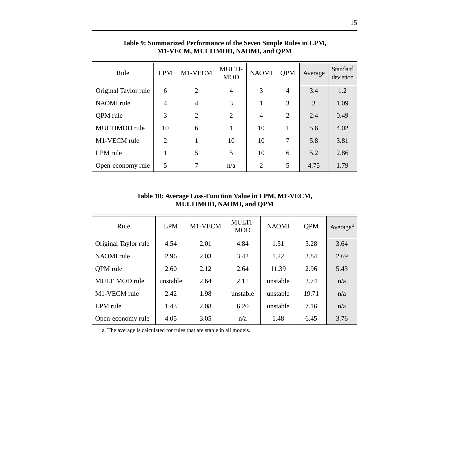| Rule                 | <b>LPM</b>     | M1-VECM        | <b>MULTI-</b><br><b>MOD</b> | <b>NAOMI</b>   | <b>QPM</b>     | Average | <b>Standard</b><br>deviation |
|----------------------|----------------|----------------|-----------------------------|----------------|----------------|---------|------------------------------|
| Original Taylor rule | 6              | $\overline{2}$ | $\overline{4}$              | 3              | $\overline{4}$ | 3.4     | 1.2                          |
| NAOMI rule           | $\overline{4}$ | $\overline{4}$ | 3                           |                | 3              | 3       | 1.09                         |
| QPM rule             | 3              | $\overline{2}$ | $\overline{2}$              | $\overline{4}$ | $\overline{2}$ | 2.4     | 0.49                         |
| <b>MULTIMOD</b> rule | 10             | 6              |                             | 10             |                | 5.6     | 4.02                         |
| M1-VECM rule         | $\overline{2}$ | 1              | 10                          | 10             | 7              | 5.8     | 3.81                         |
| LPM rule             | 1              | 5              | 5                           | 10             | 6              | 5.2     | 2.86                         |
| Open-economy rule    | 5              | 7              | n/a                         | $\overline{2}$ | 5              | 4.75    | 1.79                         |

#### **Table 9: Summarized Performance of the Seven Simple Rules in LPM, M1-VECM, MULTIMOD, NAOMI, and QPM**

#### **Table 10: Average Loss-Function Value in LPM, M1-VECM, MULTIMOD, NAOMI, and QPM**

| Rule                 | <b>LPM</b> | M1-VECM | <b>MULTI-</b><br><b>MOD</b> | <b>NAOMI</b> | <b>QPM</b> | Average <sup>a</sup> |
|----------------------|------------|---------|-----------------------------|--------------|------------|----------------------|
| Original Taylor rule | 4.54       | 2.01    | 4.84                        | 1.51         | 5.28       | 3.64                 |
| <b>NAOMI</b> rule    | 2.96       | 2.03    | 3.42                        | 1.22         | 3.84       | 2.69                 |
| <b>OPM</b> rule      | 2.60       | 2.12    | 2.64                        | 11.39        | 2.96       | 5.43                 |
| MULTIMOD rule        | unstable   | 2.64    | 2.11                        | unstable     | 2.74       | n/a                  |
| M1-VECM rule         | 2.42       | 1.98    | unstable                    | unstable     | 19.71      | n/a                  |
| LPM rule             | 1.43       | 2.08    | 6.20                        | unstable     | 7.16       | n/a                  |
| Open-economy rule    | 4.05       | 3.05    | n/a                         | 1.48         | 6.45       | 3.76                 |

a. The average is calculated for rules that are stable in all models.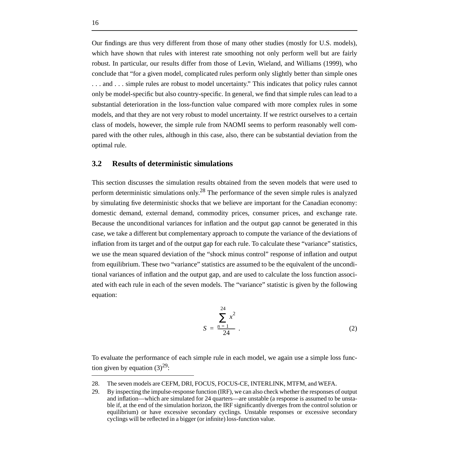Our findings are thus very different from those of many other studies (mostly for U.S. models), which have shown that rules with interest rate smoothing not only perform well but are fairly robust. In particular, our results differ from those of Levin, Wieland, and Williams (1999), who conclude that "for a given model, complicated rules perform only slightly better than simple ones . . . and . . . simple rules are robust to model uncertainty." This indicates that policy rules cannot only be model-specific but also country-specific. In general, we find that simple rules can lead to a substantial deterioration in the loss-function value compared with more complex rules in some models, and that they are not very robust to model uncertainty. If we restrict ourselves to a certain class of models, however, the simple rule from NAOMI seems to perform reasonably well compared with the other rules, although in this case, also, there can be substantial deviation from the optimal rule.

#### **3.2 Results of deterministic simulations**

This section discusses the simulation results obtained from the seven models that were used to perform deterministic simulations only.<sup>28</sup> The performance of the seven simple rules is analyzed by simulating five deterministic shocks that we believe are important for the Canadian economy: domestic demand, external demand, commodity prices, consumer prices, and exchange rate. Because the unconditional variances for inflation and the output gap cannot be generated in this case, we take a different but complementary approach to compute the variance of the deviations of inflation from its target and of the output gap for each rule. To calculate these "variance" statistics, we use the mean squared deviation of the "shock minus control" response of inflation and output from equilibrium. These two "variance" statistics are assumed to be the equivalent of the unconditional variances of inflation and the output gap, and are used to calculate the loss function associated with each rule in each of the seven models. The "variance" statistic is given by the following equation:

$$
S = \frac{\sum_{n=1}^{24} x^2}{24} \tag{2}
$$

To evaluate the performance of each simple rule in each model, we again use a simple loss function given by equation  $(3)^{29}$ :

<sup>28.</sup> The seven models are CEFM, DRI, FOCUS, FOCUS-CE, INTERLINK, MTFM, and WEFA.

<sup>29.</sup> By inspecting the impulse-response function (IRF), we can also check whether the responses of output and inflation—which are simulated for 24 quarters—are unstable (a response is assumed to be unstable if, at the end of the simulation horizon, the IRF significantly diverges from the control solution or equilibrium) or have excessive secondary cyclings. Unstable responses or excessive secondary cyclings will be reflected in a bigger (or infinite) loss-function value.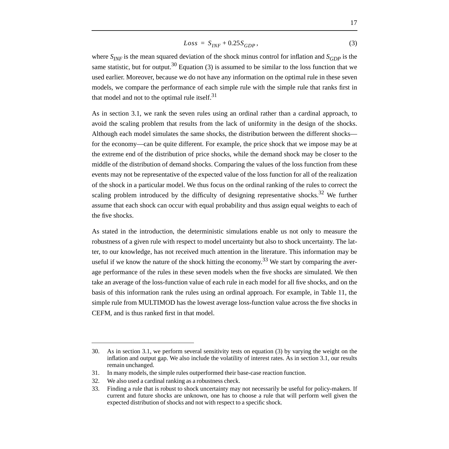$$
Loss = S_{INF} + 0.25S_{GDP},\tag{3}
$$

where  $S_{INF}$  is the mean squared deviation of the shock minus control for inflation and  $S_{GDP}$  is the same statistic, but for output.<sup>30</sup> Equation (3) is assumed to be similar to the loss function that we used earlier. Moreover, because we do not have any information on the optimal rule in these seven models, we compare the performance of each simple rule with the simple rule that ranks first in that model and not to the optimal rule itself. $31$ 

As in section 3.1, we rank the seven rules using an ordinal rather than a cardinal approach, to avoid the scaling problem that results from the lack of uniformity in the design of the shocks. Although each model simulates the same shocks, the distribution between the different shocks for the economy—can be quite different. For example, the price shock that we impose may be at the extreme end of the distribution of price shocks, while the demand shock may be closer to the middle of the distribution of demand shocks. Comparing the values of the loss function from these events may not be representative of the expected value of the loss function for all of the realization of the shock in a particular model. We thus focus on the ordinal ranking of the rules to correct the scaling problem introduced by the difficulty of designing representative shocks.<sup>32</sup> We further assume that each shock can occur with equal probability and thus assign equal weights to each of the five shocks.

As stated in the introduction, the deterministic simulations enable us not only to measure the robustness of a given rule with respect to model uncertainty but also to shock uncertainty. The latter, to our knowledge, has not received much attention in the literature. This information may be useful if we know the nature of the shock hitting the economy.<sup>33</sup> We start by comparing the average performance of the rules in these seven models when the five shocks are simulated. We then take an average of the loss-function value of each rule in each model for all five shocks, and on the basis of this information rank the rules using an ordinal approach. For example, in Table 11, the simple rule from MULTIMOD has the lowest average loss-function value across the five shocks in CEFM, and is thus ranked first in that model.

<sup>30.</sup> As in section 3.1, we perform several sensitivity tests on equation (3) by varying the weight on the inflation and output gap. We also include the volatility of interest rates. As in section 3.1, our results remain unchanged.

<sup>31.</sup> In many models, the simple rules outperformed their base-case reaction function.

<sup>32.</sup> We also used a cardinal ranking as a robustness check.

<sup>33.</sup> Finding a rule that is robust to shock uncertainty may not necessarily be useful for policy-makers. If current and future shocks are unknown, one has to choose a rule that will perform well given the expected distribution of shocks and not with respect to a specific shock.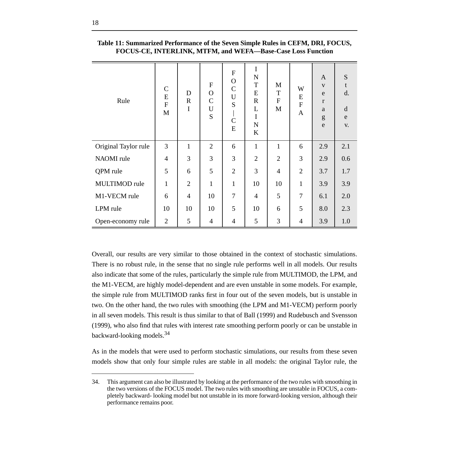| Rule                 | $\mathbf C$<br>${\bf E}$<br>$\mathbf{F}$<br>$\mathbf{M}$ | D<br>$\mathbb{R}$<br>I | $\mathbf{F}$<br>$\Omega$<br>$\mathsf{C}$<br>$\mathbf U$<br>S | ${\bf F}$<br>$\mathbf O$<br>$\mathcal{C}$<br>$\mathbf U$<br>S<br>$\mathcal{C}$<br>${\bf E}$ | $\mathbf I$<br>N<br>T<br>E<br>$\mathbf R$<br>L<br>I<br>N<br>$\bf K$ | M<br>T<br>${\bf F}$<br>M | W<br>E<br>${\bf F}$<br>$\mathbf{A}$ | $\mathbf{A}$<br>V<br>e<br>r<br>a<br>g<br>e | S<br>t<br>d.<br>$\mathbf d$<br>e<br>V. |
|----------------------|----------------------------------------------------------|------------------------|--------------------------------------------------------------|---------------------------------------------------------------------------------------------|---------------------------------------------------------------------|--------------------------|-------------------------------------|--------------------------------------------|----------------------------------------|
| Original Taylor rule | $\overline{3}$                                           | $\mathbf{1}$           | $\overline{2}$                                               | 6                                                                                           | $\mathbf{1}$                                                        | $\mathbf{1}$             | 6                                   | 2.9                                        | 2.1                                    |
| NAOMI rule           | $\overline{4}$                                           | 3                      | 3                                                            | 3                                                                                           | $\overline{2}$                                                      | $\overline{2}$           | 3                                   | 2.9                                        | 0.6                                    |
| QPM rule             | 5                                                        | 6                      | 5                                                            | $\overline{2}$                                                                              | 3                                                                   | $\overline{4}$           | $\overline{2}$                      | 3.7                                        | 1.7                                    |
| MULTIMOD rule        | 1                                                        | $\overline{2}$         | $\mathbf{1}$                                                 | $\mathbf{1}$                                                                                | 10                                                                  | 10                       | $\mathbf{1}$                        | 3.9                                        | 3.9                                    |
| M1-VECM rule         | 6                                                        | $\overline{4}$         | 10                                                           | $\overline{7}$                                                                              | $\overline{4}$                                                      | 5                        | $\overline{7}$                      | 6.1                                        | 2.0                                    |
| LPM rule             | 10                                                       | 10                     | 10                                                           | 5                                                                                           | 10                                                                  | 6                        | 5                                   | 8.0                                        | 2.3                                    |
| Open-economy rule    | $\overline{2}$                                           | 5                      | $\overline{4}$                                               | 4                                                                                           | 5                                                                   | 3                        | 4                                   | 3.9                                        | 1.0                                    |

#### **Table 11: Summarized Performance of the Seven Simple Rules in CEFM, DRI, FOCUS, FOCUS-CE, INTERLINK, MTFM, and WEFA—Base-Case Loss Function**

Overall, our results are very similar to those obtained in the context of stochastic simulations. There is no robust rule, in the sense that no single rule performs well in all models. Our results also indicate that some of the rules, particularly the simple rule from MULTIMOD, the LPM, and the M1-VECM, are highly model-dependent and are even unstable in some models. For example, the simple rule from MULTIMOD ranks first in four out of the seven models, but is unstable in two. On the other hand, the two rules with smoothing (the LPM and M1-VECM) perform poorly in all seven models. This result is thus similar to that of Ball (1999) and Rudebusch and Svensson (1999), who also find that rules with interest rate smoothing perform poorly or can be unstable in backward-looking models.34

As in the models that were used to perform stochastic simulations, our results from these seven models show that only four simple rules are stable in all models: the original Taylor rule, the

<sup>34.</sup> This argument can also be illustrated by looking at the performance of the two rules with smoothing in the two versions of the FOCUS model. The two rules with smoothing are unstable in FOCUS, a completely backward- looking model but not unstable in its more forward-looking version, although their performance remains poor.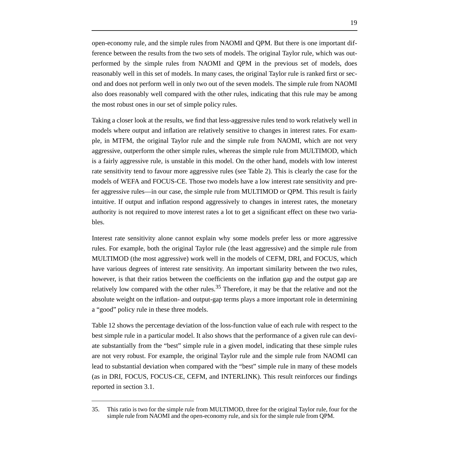open-economy rule, and the simple rules from NAOMI and QPM. But there is one important difference between the results from the two sets of models. The original Taylor rule, which was outperformed by the simple rules from NAOMI and QPM in the previous set of models, does reasonably well in this set of models. In many cases, the original Taylor rule is ranked first or second and does not perform well in only two out of the seven models. The simple rule from NAOMI also does reasonably well compared with the other rules, indicating that this rule may be among the most robust ones in our set of simple policy rules.

Taking a closer look at the results, we find that less-aggressive rules tend to work relatively well in models where output and inflation are relatively sensitive to changes in interest rates. For example, in MTFM, the original Taylor rule and the simple rule from NAOMI, which are not very aggressive, outperform the other simple rules, whereas the simple rule from MULTIMOD, which is a fairly aggressive rule, is unstable in this model. On the other hand, models with low interest rate sensitivity tend to favour more aggressive rules (see Table 2). This is clearly the case for the models of WEFA and FOCUS-CE. Those two models have a low interest rate sensitivity and prefer aggressive rules—in our case, the simple rule from MULTIMOD or QPM. This result is fairly intuitive. If output and inflation respond aggressively to changes in interest rates, the monetary authority is not required to move interest rates a lot to get a significant effect on these two variables.

Interest rate sensitivity alone cannot explain why some models prefer less or more aggressive rules. For example, both the original Taylor rule (the least aggressive) and the simple rule from MULTIMOD (the most aggressive) work well in the models of CEFM, DRI, and FOCUS, which have various degrees of interest rate sensitivity. An important similarity between the two rules, however, is that their ratios between the coefficients on the inflation gap and the output gap are relatively low compared with the other rules.<sup>35</sup> Therefore, it may be that the relative and not the absolute weight on the inflation- and output-gap terms plays a more important role in determining a "good" policy rule in these three models.

Table 12 shows the percentage deviation of the loss-function value of each rule with respect to the best simple rule in a particular model. It also shows that the performance of a given rule can deviate substantially from the "best" simple rule in a given model, indicating that these simple rules are not very robust. For example, the original Taylor rule and the simple rule from NAOMI can lead to substantial deviation when compared with the "best" simple rule in many of these models (as in DRI, FOCUS, FOCUS-CE, CEFM, and INTERLINK). This result reinforces our findings reported in section 3.1.

<sup>35.</sup> This ratio is two for the simple rule from MULTIMOD, three for the original Taylor rule, four for the simple rule from NAOMI and the open-economy rule, and six for the simple rule from QPM.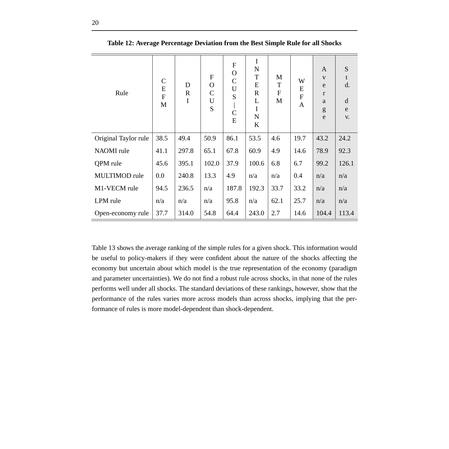| Rule                 | $\mathbf C$<br>E<br>${\bf F}$<br>$\mathbf{M}$ | D<br>$\mathbf R$<br>I | $\mathbf F$<br>$\mathbf{O}$<br>$\mathcal{C}$<br>U<br>S | ${\bf F}$<br>$\mathbf O$<br>$\mathsf C$<br>$\mathbf U$<br>${\bf S}$<br>$\mathcal{C}$<br>E | $\mathbf I$<br>N<br>T<br>E<br>$\mathbf R$<br>L<br>I<br>$\mathbf N$<br>$\bf K$ | M<br>T<br>${\bf F}$<br>M | W<br>E<br>${\bf F}$<br>$\mathbf{A}$ | $\mathbf{A}$<br>$\mathbf{V}$<br>${\bf e}$<br>$\bf r$<br>a<br>$\mathbf{g}% _{0}$<br>e | S<br>t<br>d.<br>d<br>e<br>V. |
|----------------------|-----------------------------------------------|-----------------------|--------------------------------------------------------|-------------------------------------------------------------------------------------------|-------------------------------------------------------------------------------|--------------------------|-------------------------------------|--------------------------------------------------------------------------------------|------------------------------|
| Original Taylor rule | 38.5                                          | 49.4                  | 50.9                                                   | 86.1                                                                                      | 53.5                                                                          | 4.6                      | 19.7                                | 43.2                                                                                 | 24.2                         |
| NAOMI rule           | 41.1                                          | 297.8                 | 65.1                                                   | 67.8                                                                                      | 60.9                                                                          | 4.9                      | 14.6                                | 78.9                                                                                 | 92.3                         |
| QPM rule             | 45.6                                          | 395.1                 | 102.0                                                  | 37.9                                                                                      | 100.6                                                                         | 6.8                      | 6.7                                 | 99.2                                                                                 | 126.1                        |
| MULTIMOD rule        | 0.0                                           | 240.8                 | 13.3                                                   | 4.9                                                                                       | n/a                                                                           | n/a                      | 0.4                                 | n/a                                                                                  | n/a                          |
| M1-VECM rule         | 94.5                                          | 236.5                 | n/a                                                    | 187.8                                                                                     | 192.3                                                                         | 33.7                     | 33.2                                | n/a                                                                                  | n/a                          |
| LPM rule             | n/a                                           | n/a                   | n/a                                                    | 95.8                                                                                      | n/a                                                                           | 62.1                     | 25.7                                | n/a                                                                                  | n/a                          |
| Open-economy rule    | 37.7                                          | 314.0                 | 54.8                                                   | 64.4                                                                                      | 243.0                                                                         | 2.7                      | 14.6                                | 104.4                                                                                | 113.4                        |

**Table 12: Average Percentage Deviation from the Best Simple Rule for all Shocks**

Table 13 shows the average ranking of the simple rules for a given shock. This information would be useful to policy-makers if they were confident about the nature of the shocks affecting the economy but uncertain about which model is the true representation of the economy (paradigm and parameter uncertainties). We do not find a robust rule across shocks, in that none of the rules performs well under all shocks. The standard deviations of these rankings, however, show that the performance of the rules varies more across models than across shocks, implying that the performance of rules is more model-dependent than shock-dependent.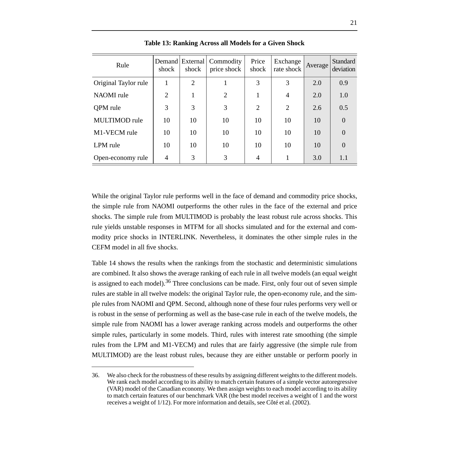| Rule                 | shock          | Demand External<br>shock | Commodity<br>price shock | Price<br>shock | Exchange<br>rate shock | Average | <b>Standard</b><br>deviation |
|----------------------|----------------|--------------------------|--------------------------|----------------|------------------------|---------|------------------------------|
| Original Taylor rule | 1              | $\overline{2}$           |                          | 3              | 3                      | 2.0     | 0.9                          |
| NAOMI rule           | $\overline{2}$ |                          | $\overline{2}$           |                | $\overline{4}$         | 2.0     | 1.0                          |
| <b>OPM</b> rule      | 3              | 3                        | 3                        | $\overline{2}$ | 2                      | 2.6     | 0.5                          |
| <b>MULTIMOD</b> rule | 10             | 10                       | 10                       | 10             | 10                     | 10      | $\theta$                     |
| M1-VECM rule         | 10             | 10                       | 10                       | 10             | 10                     | 10      | $\Omega$                     |
| LPM rule             | 10             | 10                       | 10                       | 10             | 10                     | 10      | $\Omega$                     |
| Open-economy rule    | $\overline{4}$ | 3                        | 3                        | $\overline{4}$ |                        | 3.0     | 1.1                          |

**Table 13: Ranking Across all Models for a Given Shock**

While the original Taylor rule performs well in the face of demand and commodity price shocks, the simple rule from NAOMI outperforms the other rules in the face of the external and price shocks. The simple rule from MULTIMOD is probably the least robust rule across shocks. This rule yields unstable responses in MTFM for all shocks simulated and for the external and commodity price shocks in INTERLINK. Nevertheless, it dominates the other simple rules in the CEFM model in all five shocks.

Table 14 shows the results when the rankings from the stochastic and deterministic simulations are combined. It also shows the average ranking of each rule in all twelve models (an equal weight is assigned to each model).<sup>36</sup> Three conclusions can be made. First, only four out of seven simple rules are stable in all twelve models: the original Taylor rule, the open-economy rule, and the simple rules from NAOMI and QPM. Second, although none of these four rules performs very well or is robust in the sense of performing as well as the base-case rule in each of the twelve models, the simple rule from NAOMI has a lower average ranking across models and outperforms the other simple rules, particularly in some models. Third, rules with interest rate smoothing (the simple rules from the LPM and M1-VECM) and rules that are fairly aggressive (the simple rule from MULTIMOD) are the least robust rules, because they are either unstable or perform poorly in

<sup>36.</sup> We also check for the robustness of these results by assigning different weights to the different models. We rank each model according to its ability to match certain features of a simple vector autoregressive (VAR) model of the Canadian economy. We then assign weights to each model according to its ability to match certain features of our benchmark VAR (the best model receives a weight of 1 and the worst receives a weight of 1/12). For more information and details, see Côté et al. (2002).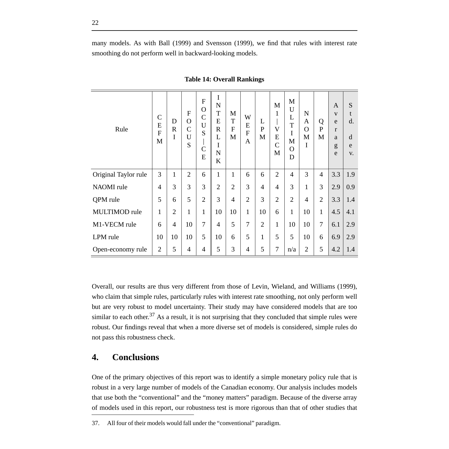many models. As with Ball (1999) and Svensson (1999), we find that rules with interest rate smoothing do not perform well in backward-looking models.

| Rule                 | $\mathcal{C}$<br>E<br>$\overline{F}$<br>M | D<br>$\mathbf R$<br>I | F<br>$\overline{O}$<br>$\overline{C}$<br>U<br>S | F<br>$\overline{O}$<br>$\overline{C}$<br>U<br>S<br>$\overline{C}$<br>E | I<br>N<br>T<br>E<br>$\mathsf{R}$<br>L<br>I<br>N<br>K | M<br>T<br>$\overline{F}$<br>M | W<br>E<br>$\mathbf F$<br>$\mathbf{A}$ | L<br>$\mathbf P$<br>M | M<br>$\mathbf{1}$<br>$\overline{\mathsf{V}}$<br>E<br>$\overline{C}$<br>M | M<br>U<br>L<br>T<br>I<br>M<br>$\overline{O}$<br>D | N<br>$\mathbf{A}$<br>$\mathbf O$<br>M<br>I | Q<br>$\mathbf{P}$<br>M | $\overline{A}$<br>$\mathbf{V}$<br>e<br>r<br>a<br>g<br>e | S<br>t<br>d.<br>d<br>e<br>V. |
|----------------------|-------------------------------------------|-----------------------|-------------------------------------------------|------------------------------------------------------------------------|------------------------------------------------------|-------------------------------|---------------------------------------|-----------------------|--------------------------------------------------------------------------|---------------------------------------------------|--------------------------------------------|------------------------|---------------------------------------------------------|------------------------------|
| Original Taylor rule | 3                                         | $\mathbf{1}$          | $\overline{2}$                                  | 6                                                                      | $\mathbf{1}$                                         | $\mathbf{1}$                  | 6                                     | 6                     | $\overline{2}$                                                           | $\overline{4}$                                    | 3                                          | $\overline{4}$         | 3.3                                                     | 1.9                          |
| NAOMI rule           | $\overline{4}$                            | 3                     | 3                                               | 3                                                                      | $\overline{2}$                                       | $\overline{2}$                | 3                                     | $\overline{4}$        | $\overline{4}$                                                           | 3                                                 | $\mathbf{1}$                               | 3                      | 2.9                                                     | 0.9                          |
| QPM rule             | 5                                         | 6                     | 5                                               | $\overline{2}$                                                         | 3                                                    | $\overline{4}$                | $\overline{2}$                        | 3                     | $\overline{2}$                                                           | $\overline{2}$                                    | $\overline{4}$                             | $\overline{2}$         | 3.3                                                     | 1.4                          |
| MULTIMOD rule        | 1                                         | $\overline{2}$        | $\mathbf{1}$                                    | $\mathbf{1}$                                                           | 10                                                   | 10                            | $\mathbf{1}$                          | 10                    | 6                                                                        | $\mathbf{1}$                                      | 10                                         | $\mathbf{1}$           | 4.5                                                     | 4.1                          |
| M1-VECM rule         | 6                                         | $\overline{4}$        | 10                                              | 7                                                                      | $\overline{4}$                                       | 5                             | $\overline{7}$                        | $\overline{2}$        | $\mathbf{1}$                                                             | 10                                                | 10                                         | $\overline{7}$         | 6.1                                                     | 2.9                          |
| LPM rule             | 10                                        | 10                    | 10                                              | 5                                                                      | 10                                                   | 6                             | 5                                     | $\mathbf{1}$          | 5                                                                        | 5                                                 | 10                                         | 6                      | 6.9                                                     | 2.9                          |
| Open-economy rule    | $\overline{2}$                            | 5                     | $\overline{4}$                                  | $\overline{4}$                                                         | 5                                                    | 3                             | $\overline{4}$                        | 5                     | 7                                                                        | n/a                                               | $\overline{2}$                             | 5                      | 4.2                                                     | 1.4                          |

**Table 14: Overall Rankings**

Overall, our results are thus very different from those of Levin, Wieland, and Williams (1999), who claim that simple rules, particularly rules with interest rate smoothing, not only perform well but are very robust to model uncertainty. Their study may have considered models that are too similar to each other. $37$  As a result, it is not surprising that they concluded that simple rules were robust. Our findings reveal that when a more diverse set of models is considered, simple rules do not pass this robustness check.

## **4. Conclusions**

One of the primary objectives of this report was to identify a simple monetary policy rule that is robust in a very large number of models of the Canadian economy. Our analysis includes models that use both the "conventional" and the "money matters" paradigm. Because of the diverse array of models used in this report, our robustness test is more rigorous than that of other studies that

<sup>37.</sup> All four of their models would fall under the "conventional" paradigm.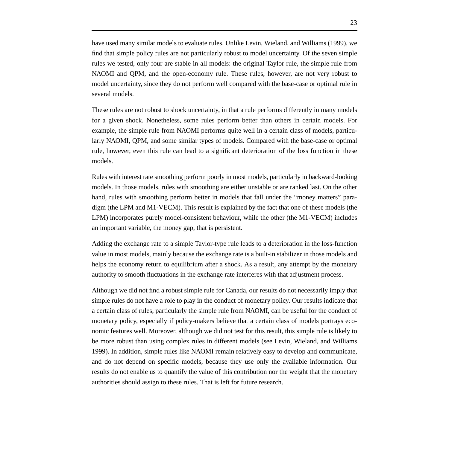have used many similar models to evaluate rules. Unlike Levin, Wieland, and Williams (1999), we find that simple policy rules are not particularly robust to model uncertainty. Of the seven simple rules we tested, only four are stable in all models: the original Taylor rule, the simple rule from NAOMI and QPM, and the open-economy rule. These rules, however, are not very robust to model uncertainty, since they do not perform well compared with the base-case or optimal rule in several models.

These rules are not robust to shock uncertainty, in that a rule performs differently in many models for a given shock. Nonetheless, some rules perform better than others in certain models. For example, the simple rule from NAOMI performs quite well in a certain class of models, particularly NAOMI, QPM, and some similar types of models. Compared with the base-case or optimal rule, however, even this rule can lead to a significant deterioration of the loss function in these models.

Rules with interest rate smoothing perform poorly in most models, particularly in backward-looking models. In those models, rules with smoothing are either unstable or are ranked last. On the other hand, rules with smoothing perform better in models that fall under the "money matters" paradigm (the LPM and M1-VECM). This result is explained by the fact that one of these models (the LPM) incorporates purely model-consistent behaviour, while the other (the M1-VECM) includes an important variable, the money gap, that is persistent.

Adding the exchange rate to a simple Taylor-type rule leads to a deterioration in the loss-function value in most models, mainly because the exchange rate is a built-in stabilizer in those models and helps the economy return to equilibrium after a shock. As a result, any attempt by the monetary authority to smooth fluctuations in the exchange rate interferes with that adjustment process.

Although we did not find a robust simple rule for Canada, our results do not necessarily imply that simple rules do not have a role to play in the conduct of monetary policy. Our results indicate that a certain class of rules, particularly the simple rule from NAOMI, can be useful for the conduct of monetary policy, especially if policy-makers believe that a certain class of models portrays economic features well. Moreover, although we did not test for this result, this simple rule is likely to be more robust than using complex rules in different models (see Levin, Wieland, and Williams 1999). In addition, simple rules like NAOMI remain relatively easy to develop and communicate, and do not depend on specific models, because they use only the available information. Our results do not enable us to quantify the value of this contribution nor the weight that the monetary authorities should assign to these rules. That is left for future research.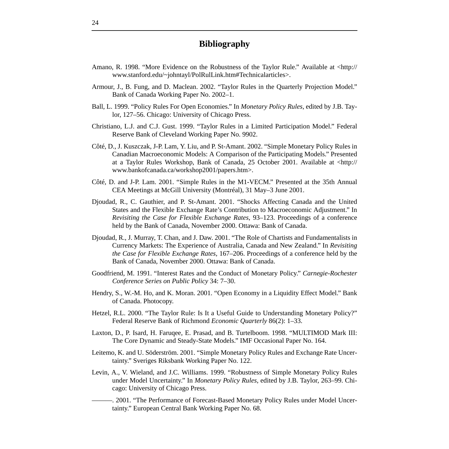## **Bibliography**

- Amano, R. 1998. "More Evidence on the Robustness of the Taylor Rule." Available at <http:// www.stanford.edu/~johntayl/PolRulLink.htm#Technicalarticles>.
- Armour, J., B. Fung, and D. Maclean. 2002. "Taylor Rules in the Quarterly Projection Model." Bank of Canada Working Paper No. 2002–1.
- Ball, L. 1999. "Policy Rules For Open Economies." In *Monetary Policy Rules*, edited by J.B. Taylor, 127–56. Chicago: University of Chicago Press.
- Christiano, L.J. and C.J. Gust. 1999. "Taylor Rules in a Limited Participation Model." Federal Reserve Bank of Cleveland Working Paper No. 9902.
- Côté, D., J. Kuszczak, J-P. Lam, Y. Liu, and P. St-Amant. 2002. "Simple Monetary Policy Rules in Canadian Macroeconomic Models: A Comparison of the Participating Models." Presented at a Taylor Rules Workshop, Bank of Canada, 25 October 2001. Available at <http:// www.bankofcanada.ca/workshop2001/papers.htm>.
- Côté, D. and J-P. Lam. 2001. "Simple Rules in the M1-VECM." Presented at the 35th Annual CEA Meetings at McGill University (Montréal), 31 May–3 June 2001.
- Djoudad, R., C. Gauthier, and P. St-Amant. 2001. "Shocks Affecting Canada and the United States and the Flexible Exchange Rate's Contribution to Macroeconomic Adjustment." In *Revisiting the Case for Flexible Exchange Rates*, 93–123. Proceedings of a conference held by the Bank of Canada, November 2000. Ottawa: Bank of Canada.
- Djoudad, R., J. Murray, T. Chan, and J. Daw. 2001. "The Role of Chartists and Fundamentalists in Currency Markets: The Experience of Australia, Canada and New Zealand." In *Revisiting the Case for Flexible Exchange Rates*, 167–206. Proceedings of a conference held by the Bank of Canada, November 2000. Ottawa: Bank of Canada.
- Goodfriend, M. 1991. "Interest Rates and the Conduct of Monetary Policy." *Carnegie-Rochester Conference Series on Public Policy* 34: 7–30.
- Hendry, S., W.-M. Ho, and K. Moran. 2001. "Open Economy in a Liquidity Effect Model." Bank of Canada. Photocopy.
- Hetzel, R.L. 2000. "The Taylor Rule: Is It a Useful Guide to Understanding Monetary Policy?" Federal Reserve Bank of Richmond *Economic Quarterly* 86(2): 1–33.
- Laxton, D., P. Isard, H. Faruqee, E. Prasad, and B. Turtelboom. 1998. "MULTIMOD Mark III: The Core Dynamic and Steady-State Models." IMF Occasional Paper No. 164.
- Leitemo, K. and U. Söderström. 2001. "Simple Monetary Policy Rules and Exchange Rate Uncertainty." Sveriges Riksbank Working Paper No. 122.
- Levin, A., V. Wieland, and J.C. Williams. 1999. "Robustness of Simple Monetary Policy Rules under Model Uncertainty." In *Monetary Policy Rules*, edited by J.B. Taylor, 263–99. Chicago: University of Chicago Press.
- -. 2001. "The Performance of Forecast-Based Monetary Policy Rules under Model Uncertainty." European Central Bank Working Paper No. 68.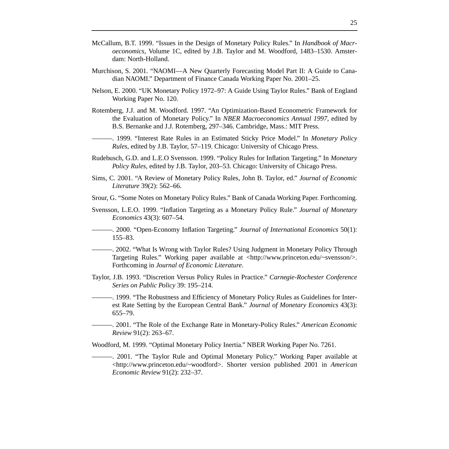- McCallum, B.T. 1999. "Issues in the Design of Monetary Policy Rules." In *Handbook of Macroeconomics*, Volume 1C, edited by J.B. Taylor and M. Woodford, 1483–1530. Amsterdam: North-Holland.
- Murchison, S. 2001. "NAOMI—A New Quarterly Forecasting Model Part II: A Guide to Canadian NAOMI." Department of Finance Canada Working Paper No. 2001–25.
- Nelson, E. 2000. "UK Monetary Policy 1972–97: A Guide Using Taylor Rules." Bank of England Working Paper No. 120.
- Rotemberg, J.J. and M. Woodford. 1997. "An Optimization-Based Econometric Framework for the Evaluation of Monetary Policy." In *NBER Macroeconomics Annual 1997,* edited by B.S. Bernanke and J.J. Rotemberg, 297–346. Cambridge, Mass.: MIT Press.
- ———. 1999. "Interest Rate Rules in an Estimated Sticky Price Model." In *Monetary Policy Rules*, edited by J.B. Taylor, 57–119. Chicago: University of Chicago Press.
- Rudebusch, G.D. and L.E.O Svensson. 1999. "Policy Rules for Inflation Targeting." In *Monetary Policy Rules*, edited by J.B. Taylor, 203–53. Chicago: University of Chicago Press.
- Sims, C. 2001. "A Review of Monetary Policy Rules, John B. Taylor, ed." *Journal of Economic Literature* 39(2): 562–66.
- Srour, G. "Some Notes on Monetary Policy Rules." Bank of Canada Working Paper. Forthcoming.
- Svensson, L.E.O. 1999. "Inflation Targeting as a Monetary Policy Rule." *Journal of Monetary Economics* 43(3): 607–54.
- ———. 2000. "Open-Economy Inflation Targeting." *Journal of International Economics* 50(1): 155–83.
- ———. 2002. "What Is Wrong with Taylor Rules? Using Judgment in Monetary Policy Through Targeting Rules." Working paper available at <http://www.princeton.edu/~svensson/>. Forthcoming in *Journal of Economic Literature*.
- Taylor, J.B. 1993. "Discretion Versus Policy Rules in Practice." *Carnegie-Rochester Conference Series on Public Policy* 39: 195–214.
- ———. 1999. "The Robustness and Efficiency of Monetary Policy Rules as Guidelines for Interest Rate Setting by the European Central Bank." *Journal of Monetary Economics* 43(3): 655–79.
	- ———. 2001. "The Role of the Exchange Rate in Monetary-Policy Rules." *American Economic Review* 91(2): 263–67.
- Woodford, M. 1999. "Optimal Monetary Policy Inertia." NBER Working Paper No. 7261.
	- ———. 2001. "The Taylor Rule and Optimal Monetary Policy." Working Paper available at <http://www.princeton.edu/~woodford>. Shorter version published 2001 in *American Economic Review* 91(2): 232–37.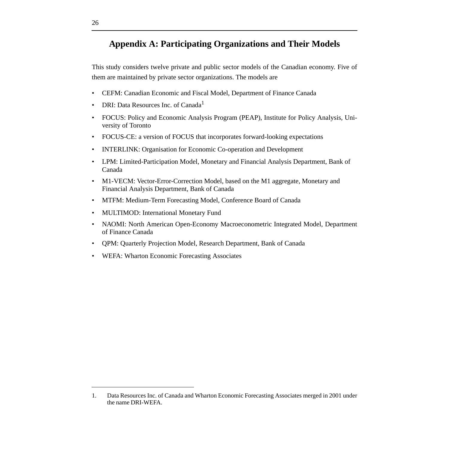## **Appendix A: Participating Organizations and Their Models**

This study considers twelve private and public sector models of the Canadian economy. Five of them are maintained by private sector organizations. The models are

- CEFM: Canadian Economic and Fiscal Model, Department of Finance Canada
- DRI: Data Resources Inc. of Canada<sup>1</sup>
- FOCUS: Policy and Economic Analysis Program (PEAP), Institute for Policy Analysis, University of Toronto
- FOCUS-CE: a version of FOCUS that incorporates forward-looking expectations
- INTERLINK: Organisation for Economic Co-operation and Development
- LPM: Limited-Participation Model, Monetary and Financial Analysis Department, Bank of Canada
- M1-VECM: Vector-Error-Correction Model, based on the M1 aggregate, Monetary and Financial Analysis Department, Bank of Canada
- MTFM: Medium-Term Forecasting Model, Conference Board of Canada
- MULTIMOD: International Monetary Fund
- NAOMI: North American Open-Economy Macroeconometric Integrated Model, Department of Finance Canada
- QPM: Quarterly Projection Model, Research Department, Bank of Canada
- WEFA: Wharton Economic Forecasting Associates

<sup>1.</sup> Data Resources Inc. of Canada and Wharton Economic Forecasting Associates merged in 2001 under the name DRI-WEFA.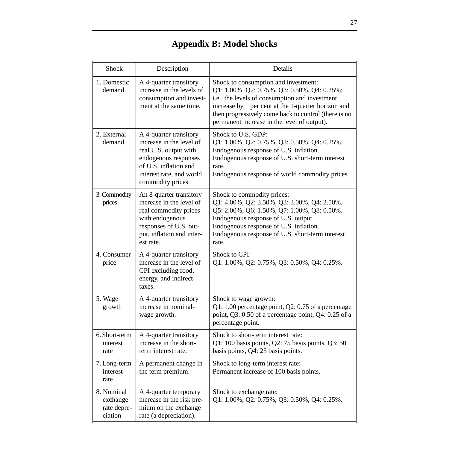# **Appendix B: Model Shocks**

| Shock                                            | Description                                                                                                                                                                   | Details                                                                                                                                                                                                                                                                                             |
|--------------------------------------------------|-------------------------------------------------------------------------------------------------------------------------------------------------------------------------------|-----------------------------------------------------------------------------------------------------------------------------------------------------------------------------------------------------------------------------------------------------------------------------------------------------|
| 1. Domestic<br>demand                            | A 4-quarter transitory<br>increase in the levels of<br>consumption and invest-<br>ment at the same time.                                                                      | Shock to consumption and investment:<br>Q1: 1.00%, Q2: 0.75%, Q3: 0.50%, Q4: 0.25%;<br>i.e., the levels of consumption and investment<br>increase by 1 per cent at the 1-quarter horizon and<br>then progressively come back to control (there is no<br>permanent increase in the level of output). |
| 2. External<br>demand                            | A 4-quarter transitory<br>increase in the level of<br>real U.S. output with<br>endogenous responses<br>of U.S. inflation and<br>interest rate, and world<br>commodity prices. | Shock to U.S. GDP:<br>Q1: 1.00%, Q2: 0.75%, Q3: 0.50%, Q4: 0.25%.<br>Endogenous response of U.S. inflation.<br>Endogenous response of U.S. short-term interest<br>rate.<br>Endogenous response of world commodity prices.                                                                           |
| 3. Commodity<br>prices                           | An 8-quarter transitory<br>increase in the level of<br>real commodity prices<br>with endogenous<br>responses of U.S. out-<br>put, inflation and inter-<br>est rate.           | Shock to commodity prices:<br>Q1: 4.00%, Q2: 3.50%, Q3: 3.00%, Q4: 2.50%,<br>Q5: 2.00%, Q6: 1.50%, Q7: 1.00%, Q8: 0.50%.<br>Endogenous response of U.S. output.<br>Endogenous response of U.S. inflation.<br>Endogenous response of U.S. short-term interest<br>rate.                               |
| 4. Consumer<br>price                             | A 4-quarter transitory<br>increase in the level of<br>CPI excluding food,<br>energy, and indirect<br>taxes.                                                                   | Shock to CPI:<br>$Q1: 1.00\%$ , $Q2: 0.75\%$ , $Q3: 0.50\%$ , $Q4: 0.25\%$ .                                                                                                                                                                                                                        |
| 5. Wage<br>growth                                | A 4-quarter transitory<br>increase in nominal-<br>wage growth.                                                                                                                | Shock to wage growth:<br>Q1: 1.00 percentage point, Q2: 0.75 of a percentage<br>point, Q3: 0.50 of a percentage point, Q4: 0.25 of a<br>percentage point.                                                                                                                                           |
| 6. Short-term<br>interest<br>rate                | A 4-quarter transitory<br>increase in the short-<br>term interest rate.                                                                                                       | Shock to short-term interest rate:<br>Q1: 100 basis points, Q2: 75 basis points, Q3: 50<br>basis points, Q4: 25 basis points.                                                                                                                                                                       |
| 7. Long-term<br>interest<br>rate                 | A permanent change in<br>the term premium.                                                                                                                                    | Shock to long-term interest rate:<br>Permanent increase of 100 basis points.                                                                                                                                                                                                                        |
| 8. Nominal<br>exchange<br>rate depre-<br>ciation | A 4-quarter temporary<br>increase in the risk pre-<br>mium on the exchange<br>rate (a depreciation).                                                                          | Shock to exchange rate:<br>Q1: 1.00%, Q2: 0.75%, Q3: 0.50%, Q4: 0.25%.                                                                                                                                                                                                                              |